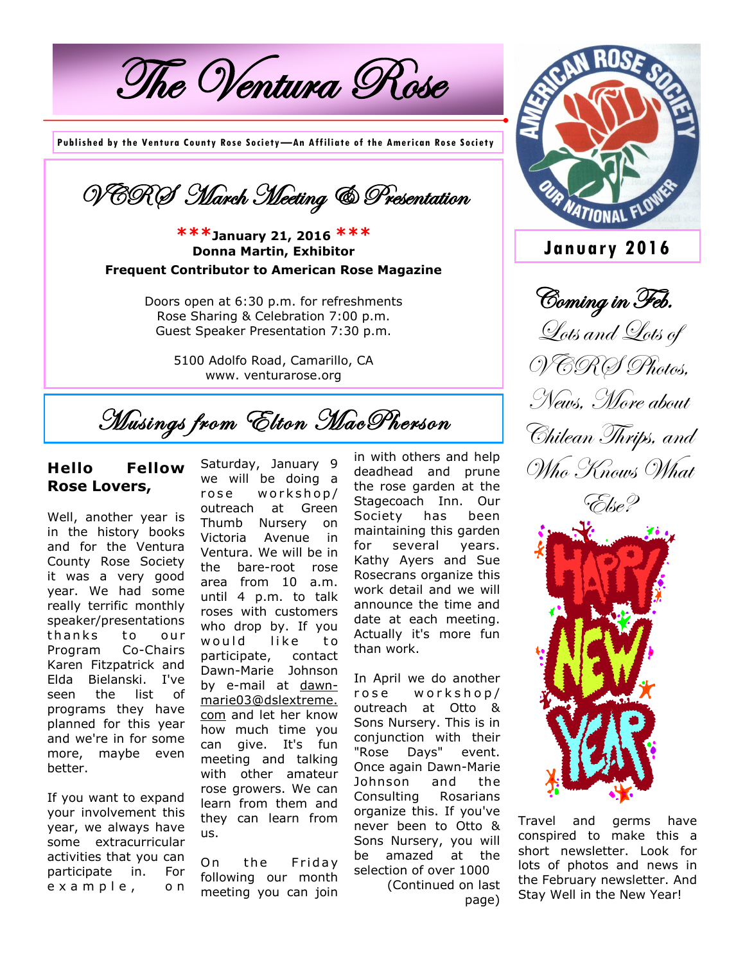The Ventura Rose

**Published by the Ventura County Rose Society—An Affiliate of the American Rose Society**



## **\*\*\*January 21, 2016 \*\*\* Donna Martin, Exhibitor Frequent Contributor to American Rose Magazine**

Doors open at 6:30 p.m. for refreshments Rose Sharing & Celebration 7:00 p.m. Guest Speaker Presentation 7:30 p.m.

> 5100 Adolfo Road, Camarillo, CA www. venturarose.org

Musings from Elton MacPherson

## **Hello Fellow Rose Lovers,**

Well, another year is in the history books and for the Ventura County Rose Society it was a very good year. We had some really terrific monthly speaker/presentations thanks to our Program Co-Chairs Karen Fitzpatrick and Elda Bielanski. I've seen the list of programs they have planned for this year and we're in for some more, maybe even better.

If you want to expand your involvement this year, we always have some extracurricular activities that you can participate in. For e x a m p l e , o n

Saturday, January 9 we will be doing a rose workshop/ outreach at Green Thumb Nursery on Victoria Avenue in Ventura. We will be in the bare-root rose area from 10 a.m. until 4 p.m. to talk roses with customers who drop by. If you would like to participate, contact Dawn-Marie Johnson by e-mail at dawnmarie03@dslextreme. com and let her know how much time you can give. It's fun meeting and talking with other amateur rose growers. We can learn from them and they can learn from us.

On the Friday following our month meeting you can join

in with others and help deadhead and prune the rose garden at the Stagecoach Inn. Our Society has been maintaining this garden for several years. Kathy Ayers and Sue Rosecrans organize this work detail and we will announce the time and date at each meeting. Actually it's more fun than work.

In April we do another rose workshop/ outreach at Otto & Sons Nursery. This is in conjunction with their "Rose Days" event. Once again Dawn-Marie Johnson and the Consulting Rosarians organize this. If you've never been to Otto & Sons Nursery, you will be amazed at the selection of over 1000

(Continued on last page)



**January 2016**

Coming in Feb. Lots and Lots of VCROS Photos, News, More about Chilean Thrips, and Who Knows What



Travel and germs have conspired to make this a short newsletter. Look for lots of photos and news in the February newsletter. And Stay Well in the New Year!